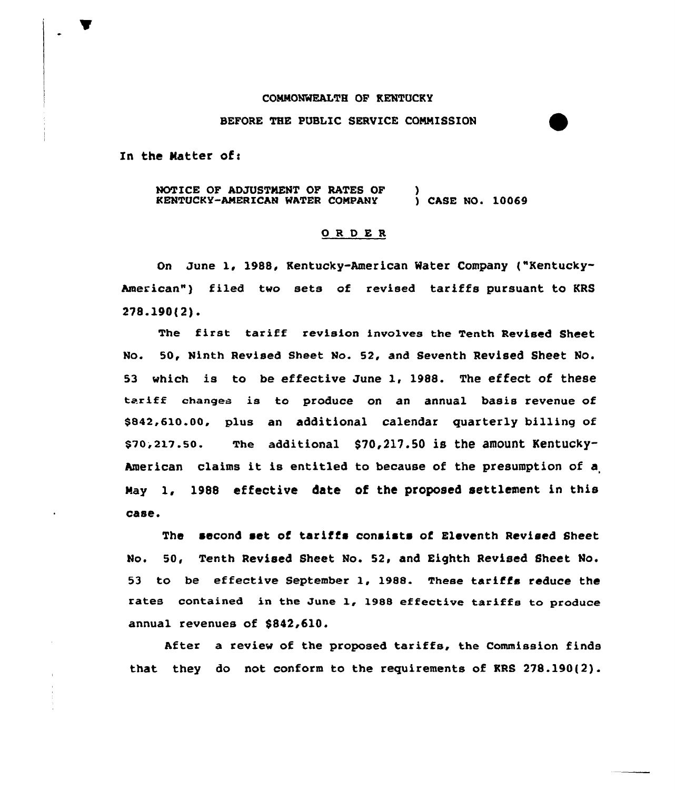## COMMONWEALTH OP KENTUCKY

## BEFORE THE PUBLIC SERVICE CQNMISSION

In the Matter of:

NOTICE OF ADJUSTMENT OF RATES OF KENTUCKY-AMERICAN WATER COMPANY ) ) CASE NO. 10069

## ORDER

On June 1, 1988, Kentucky-American Water Company ("Kentucky-American") filed two sets of revised tariffs pursuant to KRS 278.190(2).

The first tariff revision invo1ves the Tenth Revised Sheet No. SD, Ninth Revised Sheet No. 52, and Seventh Revised Sheet Ho. <sup>53</sup> which is to be effective June 1, 1988. The effect of these tariff changes is to produce on an annual basis revenue of \$842.610.00, plus an additional calendar quarterly billing of  $$70, 217.50.$  The additional  $$70, 217.50$  is the amount Kentucky-American claims it is entitled to because of the presumption of <sup>a</sup> Nay 1, 1988 effective date of the proposed settlement in this case.

The second set of tariffs consists of Eleventh Revised Sheet No. 50, Tenth Revised Sheet No. 52, and Eighth Revised Sheet No. 53 to be effective September 1, 1988. These tariffs reduce the rates contained in the June 1, 19BB effective tariffs to produce annual revenues of \$842,610.

After a review of the proposed tariffs, the Commission finds that they do not conform to the requirements of KRS 278.190(2).